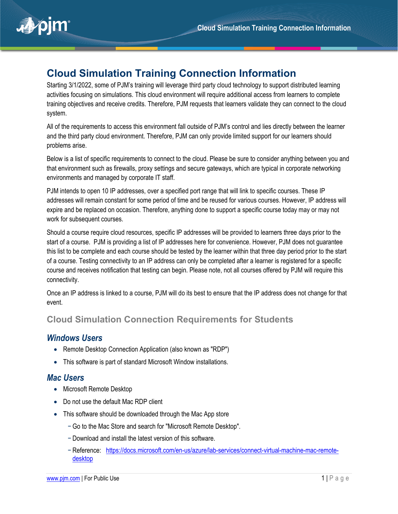

# **Cloud Simulation Training Connection Information**

Starting 3/1/2022, some of PJM's training will leverage third party cloud technology to support distributed learning activities focusing on simulations. This cloud environment will require additional access from learners to complete training objectives and receive credits. Therefore, PJM requests that learners validate they can connect to the cloud system.

All of the requirements to access this environment fall outside of PJM's control and lies directly between the learner and the third party cloud environment. Therefore, PJM can only provide limited support for our learners should problems arise.

Below is a list of specific requirements to connect to the cloud. Please be sure to consider anything between you and that environment such as firewalls, proxy settings and secure gateways, which are typical in corporate networking environments and managed by corporate IT staff.

PJM intends to open 10 IP addresses, over a specified port range that will link to specific courses. These IP addresses will remain constant for some period of time and be reused for various courses. However, IP address will expire and be replaced on occasion. Therefore, anything done to support a specific course today may or may not work for subsequent courses.

Should a course require cloud resources, specific IP addresses will be provided to learners three days prior to the start of a course. PJM is providing a list of IP addresses here for convenience. However, PJM does not guarantee this list to be complete and each course should be tested by the learner within that three day period prior to the start of a course. Testing connectivity to an IP address can only be completed after a learner is registered for a specific course and receives notification that testing can begin. Please note, not all courses offered by PJM will require this connectivity.

Once an IP address is linked to a course, PJM will do its best to ensure that the IP address does not change for that event.

# **Cloud Simulation Connection Requirements for Students**

#### *Windows Users*

- Remote Desktop Connection Application (also known as "RDP")
- This software is part of standard Microsoft Window installations.

# *Mac Users*

- Microsoft Remote Desktop
- Do not use the default Mac RDP client
- This software should be downloaded through the Mac App store
	- − Go to the Mac Store and search for "Microsoft Remote Desktop".
	- − Download and install the latest version of this software.
	- − Reference: [https://docs.microsoft.com/en-us/azure/lab-services/connect-virtual-machine-mac-remote](https://docs.microsoft.com/en-us/azure/lab-services/connect-virtual-machine-mac-remote-desktop)[desktop](https://docs.microsoft.com/en-us/azure/lab-services/connect-virtual-machine-mac-remote-desktop)